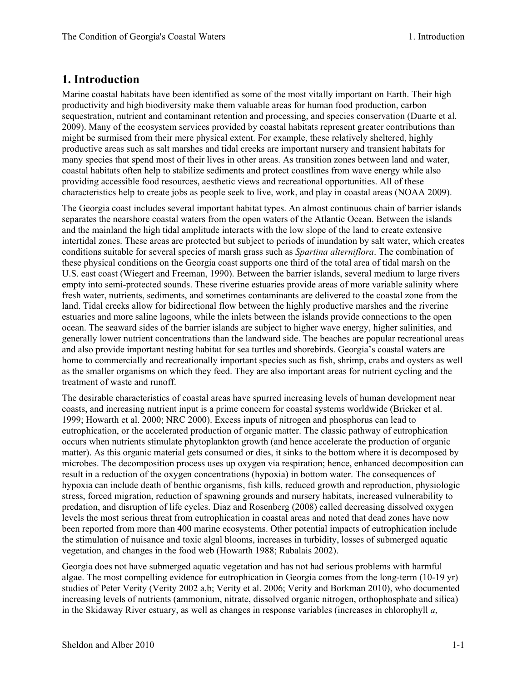## **1. Introduction**

Marine coastal habitats have been identified as some of the most vitally important on Earth. Their high productivity and high biodiversity make them valuable areas for human food production, carbon sequestration, nutrient and contaminant retention and processing, and species conservation (Duarte et al. 2009). Many of the ecosystem services provided by coastal habitats represent greater contributions than might be surmised from their mere physical extent. For example, these relatively sheltered, highly productive areas such as salt marshes and tidal creeks are important nursery and transient habitats for many species that spend most of their lives in other areas. As transition zones between land and water, coastal habitats often help to stabilize sediments and protect coastlines from wave energy while also providing accessible food resources, aesthetic views and recreational opportunities. All of these characteristics help to create jobs as people seek to live, work, and play in coastal areas (NOAA 2009).

The Georgia coast includes several important habitat types. An almost continuous chain of barrier islands separates the nearshore coastal waters from the open waters of the Atlantic Ocean. Between the islands and the mainland the high tidal amplitude interacts with the low slope of the land to create extensive intertidal zones. These areas are protected but subject to periods of inundation by salt water, which creates conditions suitable for several species of marsh grass such as *Spartina alterniflora*. The combination of these physical conditions on the Georgia coast supports one third of the total area of tidal marsh on the U.S. east coast (Wiegert and Freeman, 1990). Between the barrier islands, several medium to large rivers empty into semi-protected sounds. These riverine estuaries provide areas of more variable salinity where fresh water, nutrients, sediments, and sometimes contaminants are delivered to the coastal zone from the land. Tidal creeks allow for bidirectional flow between the highly productive marshes and the riverine estuaries and more saline lagoons, while the inlets between the islands provide connections to the open ocean. The seaward sides of the barrier islands are subject to higher wave energy, higher salinities, and generally lower nutrient concentrations than the landward side. The beaches are popular recreational areas and also provide important nesting habitat for sea turtles and shorebirds. Georgia's coastal waters are home to commercially and recreationally important species such as fish, shrimp, crabs and oysters as well as the smaller organisms on which they feed. They are also important areas for nutrient cycling and the treatment of waste and runoff.

The desirable characteristics of coastal areas have spurred increasing levels of human development near coasts, and increasing nutrient input is a prime concern for coastal systems worldwide (Bricker et al. 1999; Howarth et al. 2000; NRC 2000). Excess inputs of nitrogen and phosphorus can lead to eutrophication, or the accelerated production of organic matter. The classic pathway of eutrophication occurs when nutrients stimulate phytoplankton growth (and hence accelerate the production of organic matter). As this organic material gets consumed or dies, it sinks to the bottom where it is decomposed by microbes. The decomposition process uses up oxygen via respiration; hence, enhanced decomposition can result in a reduction of the oxygen concentrations (hypoxia) in bottom water. The consequences of hypoxia can include death of benthic organisms, fish kills, reduced growth and reproduction, physiologic stress, forced migration, reduction of spawning grounds and nursery habitats, increased vulnerability to predation, and disruption of life cycles. Diaz and Rosenberg (2008) called decreasing dissolved oxygen levels the most serious threat from eutrophication in coastal areas and noted that dead zones have now been reported from more than 400 marine ecosystems. Other potential impacts of eutrophication include the stimulation of nuisance and toxic algal blooms, increases in turbidity, losses of submerged aquatic vegetation, and changes in the food web (Howarth 1988; Rabalais 2002).

Georgia does not have submerged aquatic vegetation and has not had serious problems with harmful algae. The most compelling evidence for eutrophication in Georgia comes from the long-term (10-19 yr) studies of Peter Verity (Verity 2002 a,b; Verity et al. 2006; Verity and Borkman 2010), who documented increasing levels of nutrients (ammonium, nitrate, dissolved organic nitrogen, orthophosphate and silica) in the Skidaway River estuary, as well as changes in response variables (increases in chlorophyll *a*,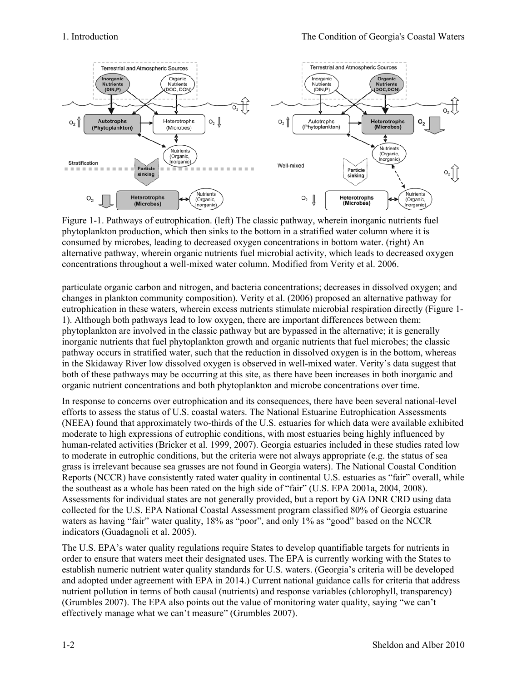

Figure 1-1. Pathways of eutrophication. (left) The classic pathway, wherein inorganic nutrients fuel phytoplankton production, which then sinks to the bottom in a stratified water column where it is consumed by microbes, leading to decreased oxygen concentrations in bottom water. (right) An alternative pathway, wherein organic nutrients fuel microbial activity, which leads to decreased oxygen concentrations throughout a well-mixed water column. Modified from Verity et al. 2006.

particulate organic carbon and nitrogen, and bacteria concentrations; decreases in dissolved oxygen; and changes in plankton community composition). Verity et al. (2006) proposed an alternative pathway for eutrophication in these waters, wherein excess nutrients stimulate microbial respiration directly (Figure 1- 1). Although both pathways lead to low oxygen, there are important differences between them: phytoplankton are involved in the classic pathway but are bypassed in the alternative; it is generally inorganic nutrients that fuel phytoplankton growth and organic nutrients that fuel microbes; the classic pathway occurs in stratified water, such that the reduction in dissolved oxygen is in the bottom, whereas in the Skidaway River low dissolved oxygen is observed in well-mixed water. Verity's data suggest that both of these pathways may be occurring at this site, as there have been increases in both inorganic and organic nutrient concentrations and both phytoplankton and microbe concentrations over time.

In response to concerns over eutrophication and its consequences, there have been several national-level efforts to assess the status of U.S. coastal waters. The National Estuarine Eutrophication Assessments (NEEA) found that approximately two-thirds of the U.S. estuaries for which data were available exhibited moderate to high expressions of eutrophic conditions, with most estuaries being highly influenced by human-related activities (Bricker et al. 1999, 2007). Georgia estuaries included in these studies rated low to moderate in eutrophic conditions, but the criteria were not always appropriate (e.g. the status of sea grass is irrelevant because sea grasses are not found in Georgia waters). The National Coastal Condition Reports (NCCR) have consistently rated water quality in continental U.S. estuaries as "fair" overall, while the southeast as a whole has been rated on the high side of "fair" (U.S. EPA 2001a, 2004, 2008). Assessments for individual states are not generally provided, but a report by GA DNR CRD using data collected for the U.S. EPA National Coastal Assessment program classified 80% of Georgia estuarine waters as having "fair" water quality, 18% as "poor", and only 1% as "good" based on the NCCR indicators (Guadagnoli et al. 2005).

The U.S. EPA's water quality regulations require States to develop quantifiable targets for nutrients in order to ensure that waters meet their designated uses. The EPA is currently working with the States to establish numeric nutrient water quality standards for U.S. waters. (Georgia's criteria will be developed and adopted under agreement with EPA in 2014.) Current national guidance calls for criteria that address nutrient pollution in terms of both causal (nutrients) and response variables (chlorophyll, transparency) (Grumbles 2007). The EPA also points out the value of monitoring water quality, saying "we can't effectively manage what we can't measure" (Grumbles 2007).